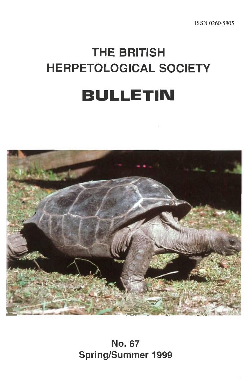# **THE BRITISH HERPETOLOGICAL SOCIETY BULLETIN**



**No. 67 Spring/Summer 1999**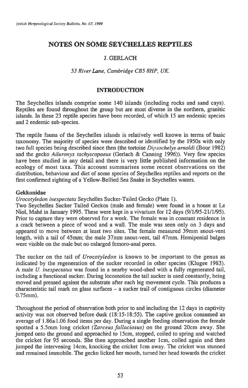## **NOTES ON SOME SEYCHELLES REPTILES**

## **J. GERLACH**

## *53 River Lane, Cambridge CBS 8HP, UK*

## **INTRODUCTION**

The Seychelles islands comprise some 140 islands (including rocks and sand cays). Reptiles are found throughout the group but are most diverse in the northern, granitic islands. In these 23 reptile species have been recorded, of which 15 are endemic species and 2 endemic sub-species.

The reptile fauna of the Seychelles islands is relatively well known in terms of basic taxonomy. The majority of species were described or identified by the 1950s with only two full species being described since then (the tortoise *Dipsochelys arnoldi* (Bour 1982) and the gecko *Ailuronyx tachyscopaeus* (Gerlach & Canning 1996)). Very few species have been studied in any detail and there is very little published information on the ecology of most taxa. This account summarises some recent observations on the distribution, behaviour and diet of some species of Seychelles reptiles and reports on the first confirmed sighting of a Yellow-Bellied Sea Snake in Seychelles waters.

### **Gekkonidae**

*Urocotyledon inexpectata* Seychelles Sucker-Tailed Gecko (Plate 1).

Two Seychelles Sucker Tailed Geckos (male and female) were found in a house at Le Niol, Mahe in January 1995. These were kept in a vivarium for 12 days (9/1/95-21/1/95). Prior to capture they were observed for a week. The female was in constant residence in a crack between a piece of wood and a wall. The male was seen only on 3 days and appeared to move between at least two sites. The female measured 39mm snout-vent length, with a tail of 45mm; the male 37mm snout-vent, tail 47mm. Hemipenial bulges were visible on the male but no enlarged femoro-anal pores.

The sucker on the tail of *Urocotyledon* is known to be important to the genus as indicated by the regeneration of the sucker recorded in other species (Klugee 1983). A male *U. inexpectatus* was found in a nearby wood-shed with a fully regenerated tail, including a functional sucker. During locomotion the tail sucker is used constantly, being moved and pressed against the substrate after each leg movement cycle. This produces a characteristic tail mark on glass surfaces — a sucker trail of contiguous circles (diameter 0.75mm).

Throughout the period of observation both prior to and including the 12 days in captivity activity was not observed before dusk (18:15-18:55). The captive geckos consumed an average of 1.86±1.06 food items per day. During a single feeding observation the female spotted a 5.5mm long cricket *(Zarceus fallaciosus)* on the ground 20cm away. She jumped onto the ground and approached to 15cm, stopped, coiled to spring and watched the cricket for 95 seconds. She then approached another 1 cm, coiled again and then jumped the intervening 14cm, knocking the cricket lcm away. The cricket was stunned and remained immobile. The gecko licked her mouth, turned her head towards the cricket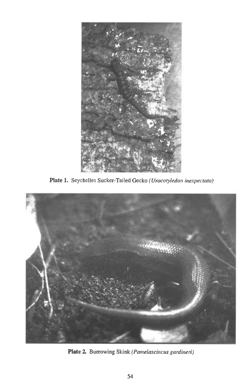

**Plate 1.** Seychelles Sucker-Tailed Gecko *(Urocotyledon inexpectata)* 



**Plate 2.** Burrowing Skink *(Pamelascincus gardineri)*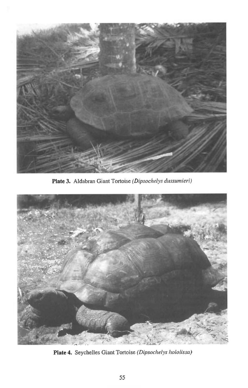

**Plate 3.** Aldabran Giant Tortoise *(Dipsochelys dussumieri)* 



**Plate 4.** Seychelles Giant Tortoise *(Dipsochelys hololissa)*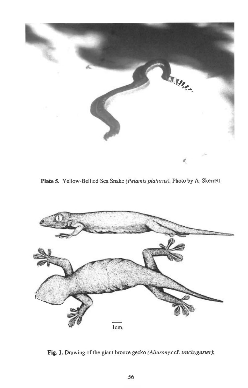

**Plate 5.** Yellow-Bellied Sea Snake *(Pelamis platurus).* Photo by A. Skerrett



**Fig. 1.** Drawing of the giant bronze gecko *(Ailuronyx* cf. *trachygaster);*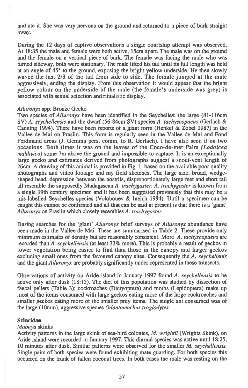and ate it. She was very nervous on the ground and returned to a piece of bark straight away.

During the 12 days of captive observations a single courtship attempt was observed. At 18:35 the male and female were both active, 15cm apart. The male was on the ground and the female on a vertical piece of bark. The female was facing the male who was turned sideway, both were stationary. The male lifted his tail until its full length was held at an angle of 45° to the ground, exposing the bright yellow underside. He then slowly waved the last 2/3 of the tail from side to side. The female jumped at the male aggressively, ending the display. From this observation it would appear that the bright yellow colour on the underside of the male (the female's underside was grey) is associated with sexual selection and ritualistic display.

#### *Ailuronyx* spp. Bronze Gecko

Two species of *Ailuronyx* have been identified in the Seychelles; the large (81-116cm SV) A. *seychellensis* and the dwarf (56-84cm SV) species *A. tachyscopaeus* (Gerlach & Canning 1994). There have been reports of a giant form (Henkel & Zobel 1987) in the Vallee de Mai on Praslin. This form is regularly seen in the Vallee de Mai and Fond Ferdinand areas (J. Gemma pers. comm, to R. Gerlach). I have also seen it on two occasions. Both times it was on the leaves of the Coco-de-mer Palm *(Lodoicea maldivica)* some 7m above the ground and impossible to capture. It is an exceptionally large gecko and estimates derived from photographs suggest a snout-vent length of 26cm. A drawing of this animal is provided in Fig. 1. based on the available poor quality photographs and video footage and my field sketches. The large size, broad, wedgeshaped head, depression between the nostrils, disproportionately large feet and short tail all resemble the supposedly Madagascan A. *trachygaster. A. trachygaster is* known from a single 19th century specimen and it has been suggested previously that this may be a mis-labelled Seychelles species (Volobouev & Ineich 1994). Until a specimen can be caught this cannot be confirmed and all that can be said at present is that there is a 'giant' *Ailuronyx* on Praslin which closely resembles A. *trachygaster.* 

During searches for the 'giant' *Ailuronyx* brief surveys of *Ailuronyx* abundance have been made in the Vallee de Mai. These are summarised in Table 2. These provide only minimum estimates of density but are reasonably consistent. More A. *tachyscopaeus* are recorded than A. *seychellensis* (at least 33% more). This is probably a result of geckos in lower vegetation being easier to find than those in the canopy and larger geckos excluding small ones from the favoured canopy sites. Consequently the A. *seychellenis*  and the giant *Ailuronyx* are probably significantly under-represented in these transects.

Observations of activity on Aride island in January 1997 found A. *seychellensis* to be active only after dusk (18:15). The diet of this population was studied by dissection of faecal pellets (Table 3); cockroaches (Dictyoptera) and moths (Lepidoptera) make up most of the items consumed with large geckos eating more of the large cockroaches and smaller geckos eating more of the smaller prey items. The single ant consumed was of the large (10mm), aggressive species *Odontomachus troglodytes.* 

#### **Scincidae**

#### *Mabuya* skinks

Activity patterns in the large skink of sea-bird colonies, *M. wrightii* (Wrights Skink), on Aride island were recorded in January 1997. This diurnal species was active until 18:25, 10 minutes after dusk. Similar patterns were observed for the smaller *M. seychellensis.*  Single pairs of both species were found exhibiting mate guarding. For both species this occurred on the trunk of fallen coconut trees. In both cases the male was resting on the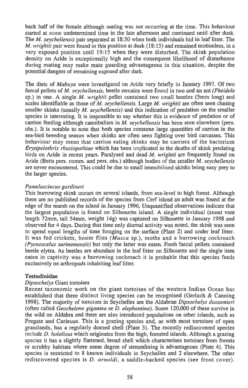back half of the female although mating was not occurring at the time. This behaviour started at some undetermined time in the late afternoon and continued until after dusk. The *M. seychellensis* pair separated at 18:30 when both individuals hid in leaf litter. The *M. wrightii* pair were found in this position at dusk (18:15) and remained motionless, in a very exposed position until 19:15 when they were disturbed. The skink population density on Aride is exceptionally high and the consequent likelihood of disturbance during mating may make mate guarding advantageous in this situation, despite the potential dangers of remaining exposed after dark.

The diets of *Mabuya* were investigated on Aride very briefly in January 1997. Of two faecal pellets of *M. seychellensis,* beetle remains were found in two and an ant *(Pheidole*  sp.) in one. A single *M. wrightii* pellet contained two small beetles (5mm long) and scales identifiable as those of *M. seychellensis.* Large *M. wrightii* are often seen chasing smaller skinks (usually *M. seychellensis)* and this indication of predation on the smaller species is interesting. It is impossible to say whether this is evidence of predation or of carrion feeding although cannibalism in *M. seychellensis* has been seen elsewhere (pers. obs.). It is notable to note that both species consume large quantities of carrion in the sea-bird breeding season when skinks are often seen fighting over bird carcasses. This behaviour may mean that carrion eating skinks may be carriers of the bacterium *Etysipelothrix rhusiopathiae* which has been implicated in the deaths of skink predating birds on Aride in recent years. Paralysed and dead *M. wrightii* are frequently found on Aride (Betts pers. comm. and pers. obs.) although bodies of the smaller *M. seychellensis*  are never encountered. This could be due to small immobilised skinks being easy prey to the larger species.

#### *Pamelascincus gardineri*

This burrowing skink occurs on several islands, from sea-level to high forest. Although there are no published records of the species from Cerf island an adult was found at the edge of the marsh on the island in January 1996. Unquantified observations indicate that the largest population is found on Silhouette island. A single individual (snout vent length 72mm, tail 54mm, weight 14g) was captured on Silhouette in January 1998 and observed for 4 days. During that time only diurnal activity was noted, the skink was seen to spend equal lengths of time foraging on the surface (Plate 2) and under leaf litter. It was fed crickets, house flies *(Musca* sp.), moths and a burrowing cockroach *(Pycnoscelus surinamensis)* but only the latter was eaten. Fresh faecal pellets contained beetle elytra. As beetles are abundant in the leaf litter on Silhouette and the single item eaten in captivity was a burrowing cockroach it is probable that this species feeds exclusively on arthropods inhabiting leaf litter.

#### **Testudinidae**

#### *Dipsochelys* Giant tortoises

Recent taxonomic work on the giant tortoises of the western Indian Ocean has established that three distinct living species can be recognised (Gerlach & Canning 1998). The majority of tortoises in Seychelles are the Aldabran *Dipsochelys dussumieri*  (often called *Geochelone gigantea* or *D. elephantina).* Some 120,000 of these survive in the wild on Aldabra and there are also introduced populations on other islands, such as Fregate and Curieuse. This is a grazing species and, as with most tortoises of open grasslands, has a regularly domed shell (Plate 3). The recently rediscovered species include *D. hololissa* which originates from the high, forested islands. Although a grazing species it has a slightly flattened, broad shell which characterises tortoises from forests or scrubby habitats where some degree of streamlining is advantageous (Plate 4). This species is restricted to 8 known individuals in Seychelles and 2 elsewhere. The other rediscovered species is *D. arnoldi,* a saddle-backed species (see front cover).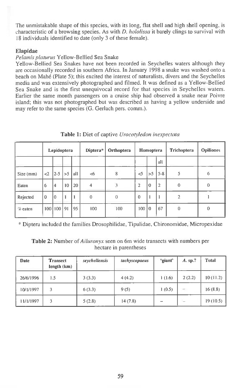The unmistakable shape of this species, with its long, flat shell and high shell opening, is characteristic of a browsing species. As with *D. hololissa* it barely clings to survival with 18 individuals identified to date (only 3 of these female).

#### **Elapidae**

#### *Pelamis platurus* Yellow-Bellied Sea Snake

Yellow-Bellied Sea Snakes have not been recorded in Seychelles waters although they are occasionally recorded in southern Africa. In January 1998 a snake was washed onto a beach on Mahe (Plate 5); this excited the interest of naturalists, divers and the Seychelles media and was extensively photographed and filmed. It was defined as a Yellow-Bellied Sea Snake and is the first unequivocal record for that species in Seychelles waters. Earlier the same month passengers on a cruise ship had observed a snake near Poivre island; this was not photographed but was described as having a yellow underside and may refer to the same species (G. Gerlach pers. comm.).

|           | Lepidoptera |                    |    |       | Diptera*       | Orthoptera | Homoptera      |    |                | Trichoptera    | <b>Opiliones</b> |
|-----------|-------------|--------------------|----|-------|----------------|------------|----------------|----|----------------|----------------|------------------|
|           |             |                    |    |       |                |            |                |    | all            |                |                  |
| Size (mm) | $\leq$      | $12 - 5$           | >5 | l all | <6             | 8          | $\leq$         | >5 | $5 - 8$        | 5              | 6                |
| Eaten     | 6           | 14                 | 10 | 20    | $\overline{4}$ |            | $\overline{2}$ | 10 | $\overline{2}$ | 0              | $\theta$         |
| Rejected  | $\theta$    | l0                 |    |       | $\Omega$       | $\Omega$   | $\theta$       |    |                | $\overline{2}$ |                  |
| $%$ eaten |             | $100$   $100$   91 |    | 95    | 100            | 100        | 100 0          |    | 67             | $\theta$       | 0                |

**Table 1.** Diet of captive *Urocotyledon inexpectata* 

\* Diptera included the families Drosophilidae, Tipulidae, Chironomidae, Micropexidae

**Table 2:** Number of *Ailuronyx* seen on 6m wide transects with numbers per hectare in parentheses

| Date      | <b>Transect</b><br>length $(km)$ | seychellensis | tachyscopaeus | 'giant' | $A.$ sp.? | <b>Total</b> |
|-----------|----------------------------------|---------------|---------------|---------|-----------|--------------|
| 26/6/1996 | 1.5                              | 3(3.3)        | 4(4.2)        | 1(1.6)  | 2(2.2)    | 10(11.2)     |
| 10/1/1997 | 3                                | 6(3.3)        | 9(5)          | 1(0.5)  |           | 16(8.8)      |
| 11/1/1997 | 3                                | 5(2.8)        | 14(7.8)       |         |           | 19(10.5)     |